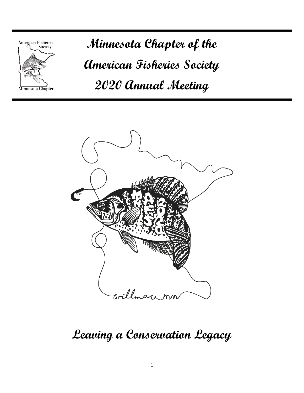

**Minnesota Chapter of the American Fisheries Society 2020 Annual Meeting**



**Leaving a Conservation Legacy**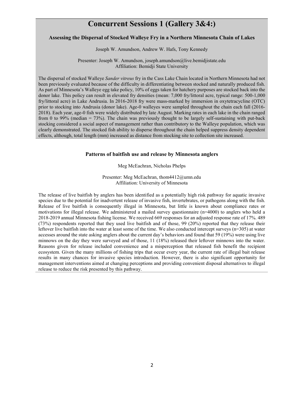# **Concurrent Sessions 1 (Gallery 3&4:)**

# **Assessing the Dispersal of Stocked Walleye Fry in a Northern Minnesota Chain of Lakes**

Joseph W. Amundson, Andrew W. Hafs, Tony Kennedy

Presenter: Joseph W. Amundson, joseph.amundson@live.bemidjistate.edu Affiliation: Bemidji State University

The dispersal of stocked Walleye *Sander vitreus* fry in the Cass Lake Chain located in Northern Minnesota had not been previously evaluated because of the difficulty in differentiating between stocked and naturally produced fish. As part of Minnesota's Walleye egg take policy, 10% of eggs taken for hatchery purposes are stocked back into the donor lake. This policy can result in elevated fry densities (mean: 7,000 fry/littoral acre, typical range: 500-1,000 fry/littoral acre) in Lake Andrusia. In 2016-2018 fry were mass-marked by immersion in oxytetracycline (OTC) prior to stocking into Andrusia (donor lake). Age-0 walleyes were sampled throughout the chain each fall (2016- 2018). Each year, age-0 fish were widely distributed by late August. Marking rates in each lake in the chain ranged from 0 to 99% (median = 73%). The chain was previously thought to be largely self-sustaining with put-back stocking considered a social aspect of management rather than contributory to the Walleye population, which was clearly demonstrated. The stocked fish ability to disperse throughout the chain helped suppress density dependent effects, although, total length (mm) increased as distance from stocking site to collection site increased.

#### **Patterns of baitfish use and release by Minnesota anglers**

Meg McEachran, Nicholas Phelps

Presenter: Meg McEachran, thom4412@umn.edu Affiliation: University of Minnesota

The release of live baitfish by anglers has been identified as a potentially high risk pathway for aquatic invasive species due to the potential for inadvertent release of invasive fish, invertebrates, or pathogens along with the fish. Release of live baitfish is consequently illegal in Minnesota, but little is known about compliance rates or motivations for illegal release. We administered a mailed survey questionnaire (n=4000) to anglers who held a 2018-2019 annual Minnesota fishing license. We received 669 responses for an adjusted response rate of 17%. 489 (73%) respondents reported that they used live baitfish and of those, 99 (20%) reported that they release their leftover live baitfish into the water at least some of the time. We also conducted intercept surveys (n=305) at water accesses around the state asking anglers about the current day's behaviors and found that 59 (19%) were using live minnows on the day they were surveyed and of those, 11 (18%) released their leftover minnows into the water. Reasons given for release included convenience and a misperception that released fish benefit the recipient ecosystem. Given the many millions of fishing trips that occur every year, the current rate of illegal bait release results in many chances for invasive species introduction. However, there is also significant opportunity for management interventions aimed at changing perceptions and providing convenient disposal alternatives to illegal release to reduce the risk presented by this pathway.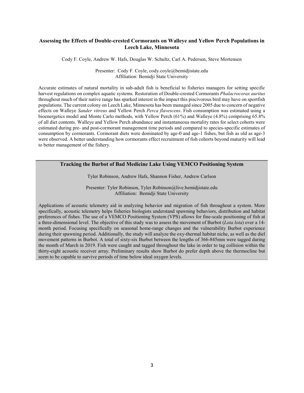# **Assessing the Effects of Double-crested Cormorants on Walleye and Yellow Perch Populations in Leech Lake, Minnesota**

Cody F. Coyle, Andrew W. Hafs, Douglas W. Schultz, Carl A. Pedersen, Steve Mortensen

Presenter: Cody F. Coyle, cody.coyle@bemidjistate.edu Affiliation: Bemidji State University

Accurate estimates of natural mortality in sub-adult fish is beneficial to fisheries managers for setting specific harvest regulations on complex aquatic systems. Restoration of Double-crested Cormorants *Phalacrocorax auritus* throughout much of their native range has sparked interest in the impact this piscivorous bird may have on sportfish populations. The current colony on Leech Lake, Minnesota has been managed since 2005 due to concern of negative effects on Walleye *Sander vitreus* and Yellow Perch *Perca flavescens*. Fish consumption was estimated using a bioenergetics model and Monte Carlo methods, with Yellow Perch (61%) and Walleye (4.8%) comprising 65.8% of all diet contents. Walleye and Yellow Perch abundance and instantaneous mortality rates for select cohorts were estimated during pre- and post-cormorant management time periods and compared to species-specific estimates of consumption by cormorants. Cormorant diets were dominated by age-0 and age-1 fishes, but fish as old as age-3 were observed. A better understanding how cormorants effect recruitment of fish cohorts beyond maturity will lead to better management of the fishery.

# **Tracking the Burbot of Bad Medicine Lake Using VEMCO Positioning System**

Tyler Robinson, Andrew Hafs, Shannon Fisher, Andrew Carlson

Presenter: Tyler Robinson, Tyler.Robinson@live.bemidjistate.edu Affiliation: Bemidji State University

Applications of acoustic telemetry aid in analyzing behavior and migration of fish throughout a system. More specifically, acoustic telemetry helps fisheries biologists understand spawning behaviors, distribution and habitat preferences of fishes. The use of a VEMCO Positioning System (VPS) allows for fine-scale positioning of fish at a three-dimensional level. The objective of this study was to assess the movement of Burbot (*Lota lota*) over a 14 month period. Focusing specifically on seasonal home-range changes and the vulnerability Burbot experience during their spawning period. Additionally, the study will analyze the oxy-thermal habitat niche, as well as the diel movement patterns in Burbot. A total of sixty-six Burbot between the lengths of 366-845mm were tagged during the month of March in 2019. Fish were caught and tagged throughout the lake in order to tag collision within the thirty-eight acoustic receiver array. Preliminary results show Burbot do prefer depth above the thermocline but seem to be capable to survive periods of time below ideal oxygen levels.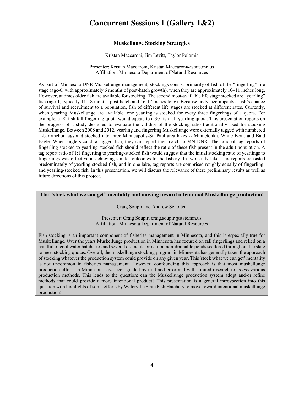# **Concurrent Sessions 1 (Gallery 1&2)**

#### **Muskellunge Stocking Strategies**

Kristan Maccaroni, Jim Levitt, Taylor Polomis

Presenter: Kristan Maccaroni, Kristan.Maccaroni@state.mn.us Affiliation: Minnesota Department of Natural Resources

As part of Minnesota DNR Muskellunge management, stockings consist primarily of fish of the "fingerling" life stage (age-0, with approximately 6 months of post-hatch growth), when they are approximately 10–11 inches long. However, at times older fish are available for stocking. The second most-available life stage stocked are "yearling" fish (age-1, typically 11-18 months post-hatch and 16-17 inches long). Because body size impacts a fish's chance of survival and recruitment to a population, fish of different life stages are stocked at different rates. Currently, when yearling Muskellunge are available, one yearling is stocked for every three fingerlings of a quota. For example, a 90-fish fall fingerling quota would equate to a 30-fish fall yearling quota. This presentation reports on the progress of a study designed to evaluate the validity of the stocking ratio traditionally used for stocking Muskellunge. Between 2008 and 2012, yearling and fingerling Muskellunge were externally tagged with numbered T-bar anchor tags and stocked into three Minneapolis-St. Paul area lakes -- Minnetonka, White Bear, and Bald Eagle. When anglers catch a tagged fish, they can report their catch to MN DNR. The ratio of tag reports of fingerling-stocked to yearling-stocked fish should reflect the ratio of these fish present in the adult population. A tag report ratio of 1:1 fingerling to yearling-stocked fish would suggest that the initial stocking ratio of yearlings to fingerlings was effective at achieving similar outcomes to the fishery. In two study lakes, tag reports consisted predominately of yearling-stocked fish, and in one lake, tag reports are comprised roughly equally of fingerlingand yearling-stocked fish. In this presentation, we will discuss the relevance of these preliminary results as well as future directions of this project.

# **The "stock what we can get" mentality and moving toward intentional Muskellunge production!**

Craig Soupir and Andrew Scholten

Presenter: Craig Soupir, craig.soupir@state.mn.us Affiliation: Minnesota Department of Natural Resources

Fish stocking is an important component of fisheries management in Minnesota, and this is especially true for Muskellunge. Over the years Muskellunge production in Minnesota has focused on fall fingerlings and relied on a handful of cool water hatcheries and several drainable or natural non-drainable ponds scattered throughout the state to meet stocking quotas. Overall, the muskellunge stocking program in Minnesota has generally taken the approach of stocking whatever the production system could provide on any given year. This 'stock what we can get' mentality is not uncommon in fisheries management. However, confounding this approach is that most muskellunge production efforts in Minnesota have been guided by trial and error and with limited research to assess various production methods. This leads to the question: can the Muskellunge production system adopt and/or refine methods that could provide a more intentional product? This presentation is a general introspection into this question with highlights of some efforts by Waterville State Fish Hatchery to move toward intentional muskellunge production!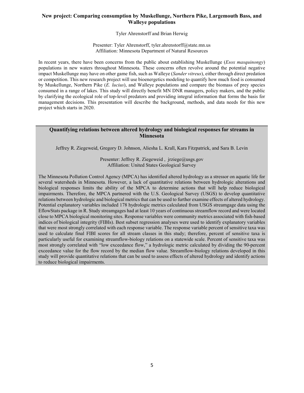# **New project: Comparing consumption by Muskellunge, Northern Pike, Largemouth Bass, and Walleye populations**

Tyler Ahrenstorff and Brian Herwig

Presenter: Tyler Ahrenstorff, tyler.ahrenstorff@state.mn.us Affiliation: Minnesota Department of Natural Resources

In recent years, there have been concerns from the public about establishing Muskellunge (*Esox masquinongy*) populations in new waters throughout Minnesota. These concerns often revolve around the potential negative impact Muskellunge may have on other game fish, such as Walleye (*Sander vitreus*), either through direct predation or competition. This new research project will use bioenergetics modeling to quantify how much food is consumed by Muskellunge, Northern Pike (*E. lucius*), and Walleye populations and compare the biomass of prey species consumed in a range of lakes. This study will directly benefit MN DNR managers, policy makers, and the public by clarifying the ecological role of top-level predators and providing integral information that forms the basis for management decisions. This presentation will describe the background, methods, and data needs for this new project which starts in 2020.

# **Quantifying relations between altered hydrology and biological responses for streams in Minnesota**

Jeffrey R. Ziegeweid, Gregory D. Johnson, Aliesha L. Krall, Kara Fitzpatrick, and Sara B. Levin

Presenter: Jeffrey R. Ziegeweid,  $\text{irziege}(a)$ usgs.gov Affiliation: United States Geological Survey

The Minnesota Pollution Control Agency (MPCA) has identified altered hydrology as a stressor on aquatic life for several watersheds in Minnesota. However, a lack of quantitative relations between hydrologic alterations and biological responses limits the ability of the MPCA to determine actions that will help reduce biological impairments. Therefore, the MPCA partnered with the U.S. Geological Survey (USGS) to develop quantitative relations between hydrologic and biological metrics that can be used to further examine effects of altered hydrology. Potential explanatory variables included 178 hydrologic metrics calculated from USGS streamgage data using the EflowStats package in R. Study streamgages had at least 10 years of continuous streamflow record and were located close to MPCA biological monitoring sites. Response variables were community metrics associated with fish-based indices of biological integrity (FIBIs). Best subset regression analyses were used to identify explanatory variables that were most strongly correlated with each response variable. The response variable percent of sensitive taxa was used to calculate final FIBI scores for all stream classes in this study; therefore, percent of sensitive taxa is particularly useful for examining streamflow-biology relations on a statewide scale. Percent of sensitive taxa was most strongly correlated with "low exceedance flow," a hydrologic metric calculated by dividing the 90-percent exceedance value for the flow record by the median flow value. Streamflow-biology relations developed in this study will provide quantitative relations that can be used to assess effects of altered hydrology and identify actions to reduce biological impairments.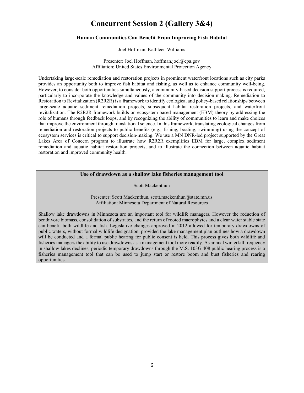# **Concurrent Session 2 (Gallery 3&4)**

#### **Human Communities Can Benefit From Improving Fish Habitat**

Joel Hoffman, Kathleen Williams

Presenter: Joel Hoffman, hoffman.joel@epa.gov Affiliation: United States Environmental Protection Agency

Undertaking large-scale remediation and restoration projects in prominent waterfront locations such as city parks provides an opportunity both to improve fish habitat and fishing, as well as to enhance community well-being. However, to consider both opportunities simultaneously, a community-based decision support process is required, particularly to incorporate the knowledge and values of the community into decision-making. Remediation to Restoration to Revitalization (R2R2R) is a framework to identify ecological and policy-based relationships between large-scale aquatic sediment remediation projects, subsequent habitat restoration projects, and waterfront revitalization. The R2R2R framework builds on ecosystem-based management (EBM) theory by addressing the role of humans through feedback loops, and by recognizing the ability of communities to learn and make choices that improve the environment through translational science. In this framework, translating ecological changes from remediation and restoration projects to public benefits (e.g., fishing, boating, swimming) using the concept of ecosystem services is critical to support decision-making. We use a MN DNR-led project supported by the Great Lakes Area of Concern program to illustrate how R2R2R exemplifies EBM for large, complex sediment remediation and aquatic habitat restoration projects, and to illustrate the connection between aquatic habitat restoration and improved community health.

## **Use of drawdown as a shallow lake fisheries management tool**

Scott Mackenthun

Presenter: Scott Mackenthun, scott.mackenthun@state.mn.us Affiliation: Minnesota Department of Natural Resources

Shallow lake drawdowns in Minnesota are an important tool for wildlife managers. However the reduction of benthivore biomass, consolidation of substrates, and the return of rooted macrophytes and a clear water stable state can benefit both wildlife and fish. Legislative changes approved in 2012 allowed for temporary drawdowns of public waters, without formal wildlife designation, provided the lake management plan outlines how a drawdown will be conducted and a formal public hearing for public consent is held. This process gives both wildlife and fisheries managers the ability to use drawdowns as a management tool more readily. As annual winterkill frequency in shallow lakes declines, periodic temporary drawdowns through the M.S. 103G.408 public hearing process is a fisheries management tool that can be used to jump start or restore boom and bust fisheries and rearing opportunities.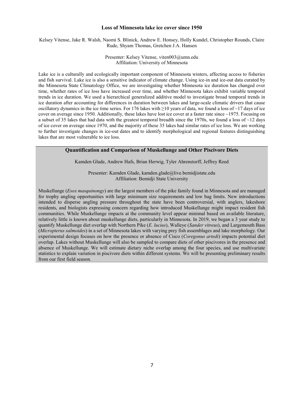#### **Loss of Minnesota lake ice cover since 1950**

Kelsey Vitense, Jake R. Walsh, Naomi S. Blinick, Andrew E. Honsey, Holly Kundel, Christopher Rounds, Claire Rude, Shyam Thomas, Gretchen J.A. Hansen

> Presenter: Kelsey Vitense, viten003@umn.edu Affiliation: University of Minnesota

Lake ice is a culturally and ecologically important component of Minnesota winters, affecting access to fisheries and fish survival. Lake ice is also a sensitive indicator of climate change. Using ice-in and ice-out data curated by the Minnesota State Climatology Office, we are investigating whether Minnesota ice duration has changed over time, whether rates of ice loss have increased over time, and whether Minnesota lakes exhibit variable temporal trends in ice duration. We used a hierarchical generalized additive model to investigate broad temporal trends in ice duration after accounting for differences in duration between lakes and large-scale climatic drivers that cause oscillatory dynamics in the ice time series. For 176 lakes with  $\geq$ 10 years of data, we found a loss of  $\sim$ 17 days of ice cover on average since 1950. Additionally, these lakes have lost ice cover at a faster rate since  $\sim$ 1975. Focusing on a subset of 35 lakes that had data with the greatest temporal breadth since the 1970s, we found a loss of  $\sim$ 12 days of ice cover on average since 1970, and the majority of these 35 lakes had similar rates of ice loss. We are working to further investigate changes in ice-out dates and to identify morphological and regional features distinguishing lakes that are most vulnerable to ice loss.

# **Quantification and Comparison of Muskellunge and Other Piscivore Diets**

Kamden Glade, Andrew Hafs, Brian Herwig, Tyler Ahrenstorff, Jeffrey Reed

Presenter: Kamden Glade, kamden.glade@live.bemidjistate.edu Affiliation: Bemidji State University

Muskellunge (*Esox masquinongy*) are the largest members of the pike family found in Minnesota and are managed for trophy angling opportunities with large minimum size requirements and low bag limits. New introductions intended to disperse angling pressure throughout the state have been controversial, with anglers, lakeshore residents, and biologists expressing concern regarding how introduced Muskellunge might impact resident fish communities. While Muskellunge impacts at the community level appear minimal based on available literature, relatively little is known about muskellunge diets, particularly in Minnesota. In 2019, we began a 3 year study to quantify Muskellunge diet overlap with Northern Pike (*E. lucius*), Walleye (*Sander vitreus*), and Largemouth Bass (*Micropterus salmoides*) in a set of Minnesota lakes with varying prey fish assemblages and lake morphology. Our experimental design focuses on how the presence or absence of Cisco (*Coregonus artedi*) impacts potential diet overlap. Lakes without Muskellunge will also be sampled to compare diets of other piscivores in the presence and absence of Muskellunge. We will estimate dietary niche overlap among the four species, and use multivariate statistics to explain variation in piscivore diets within different systems. We will be presenting preliminary results from our first field season.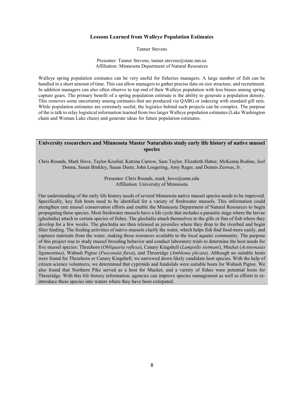#### **Lessons Learned from Walleye Population Estimates**

Tanner Stevens

Presenter: Tanner Stevens, tanner.stevens@state.mn.us Affiliation: Minnesota Department of Natural Resources

Walleye spring population estimates can be very useful for fisheries managers. A large number of fish can be handled in a short amount of time. This can allow managers to gather precise data on size structure, and recruitment. In addition managers can also often observe to top end of their Walleye population with less biases among spring capture gears. The primary benefit of a spring population estimate is the ability to generate a population density. This removes some uncertainty among estimates that are produced via QABG or indexing with standard gill nets. While population estimates are extremely useful, the logistics behind such projects can be complex. The purpose of the is talk to relay logistical information learned from two larger Walleye population estimates (Lake Washington chain and Woman Lake chain) and generate ideas for future population estimates.

#### **University researchers and Minnesota Master Naturalists study early life history of native mussel species**

Chris Rounds, Mark Hove, Taylor Koefod, Katrina Carrow, Sam Taylor, Elizabeth Huber, McKenna Rodine, Joel Donna, Susan Binkley, Susan Deetz, John Loegering, Amy Rager, and Dennis Zerwas, Jr.

> Presenter: Chris Rounds, mark\_hove@umn.edu Affiliation: University of Minnesota

Our understanding of the early life history needs of several Minnesota native mussel species needs to be improved. Specifically, key fish hosts need to be identified for a variety of freshwater mussels. This information could strengthen rare mussel conservation efforts and enable the Minnesota Department of Natural Resources to begin propagating these species. Most freshwater mussels have a life cycle that includes a parasitic stage where the larvae (glochidia) attach to certain species of fishes. The glochidia attach themselves to the gills or fins of fish where they develop for a few weeks. The glochidia are then released as juveniles where they drop to the riverbed and begin filter feeding. The feeding activities of native mussels clarify the water, which helps fish find food more easily, and captures nutrients from the water, making those resources available to the local aquatic community. The purpose of this project was to study mussel brooding behavior and conduct laboratory trials to determine the host needs for five mussel species: Threehorn (*Obliquaria reflexa*), Canary Kingshell (*Lampsilis sietmani*), Mucket (*Actinonaias ligamentina*), Wabash Pigtoe (*Fusconaia flava*), and Threeridge (*Amblema plicata*). Although no suitable hosts were found for Threehorn or Canary Kingshell, we narrowed down likely candidate host species. With the help of citizen science volunteers, we determined that cyprinids and fundulids were suitable hosts for Wabash Pigtoe. We also found that Northern Pike served as a host for Mucket, and a variety of fishes were potential hosts for Threeridge. With this life history information, agencies can improve species management as well as efforts to reintroduce these species into waters where they have been extirpated.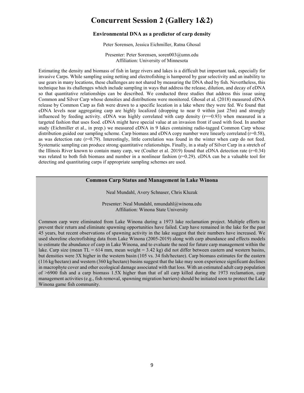# **Concurrent Session 2 (Gallery 1&2)**

#### **Environmental DNA as a predictor of carp density**

Peter Sorensen, Jessica Eichmiller, Ratna Ghosal

Presenter: Peter Sorensen, soren003@umn.edu Affiliation: University of Minnesota

Estimating the density and biomass of fish in large rivers and lakes is a difficult but important task, especially for invasive Carps. While sampling using netting and electrofishing is hampered by gear selectivity and an inability to use gears in many locations, these challenges are not shared by measuring the DNA shed by fish. Nevertheless, this technique has its challenges which include sampling in ways that address the release, dilution, and decay of eDNA so that quantitative relationships can be described. We conducted three studies that address this issue using Common and Silver Carp whose densities and distributions were monitored. Ghosal et al. (2018) measured eDNA release by Common Carp as fish were drawn to a specific location in a lake where they were fed. We found that eDNA levels near aggregating carp are highly localized (dropping to near 0 within just 25m) and strongly influenced by feeding activity. eDNA was highly correlated with carp density  $(r=0.93)$  when measured in a targeted fashion that uses food. eDNA might have special value at an invasion front if used with food. In another study (Eichmiller et al., in prep.) we measured eDNA in 9 lakes containing radio-tagged Common Carp whose distribution guided our sampling scheme. Carp biomass and eDNA copy number were linearly correlated (r=0.58), as was detection rate (r=0.79). Interestingly, little correlation was found in the winter when carp do not feed. Systematic sampling can produce strong quantitative relationships. Finally, in a study of Silver Carp in a stretch of the Illinois River known to contain many carp, we (Coulter et al. 2019) found that eDNA detection rate  $(r=0.34)$ was related to both fish biomass and number in a nonlinear fashion  $(r=0.29)$ . eDNA can be a valuable tool for detecting and quantitating carps if appropriate sampling schemes are used.

# **Common Carp Status and Management in Lake Winona**

Neal Mundahl, Avery Schnaser, Chris Kluzak

Presenter: Neal Mundahl, nmundahl@winona.edu Affiliation: Winona State University

Common carp were eliminated from Lake Winona during a 1973 lake reclamation project. Multiple efforts to prevent their return and eliminate spawning opportunities have failed. Carp have remained in the lake for the past 45 years, but recent observations of spawning activity in the lake suggest that their numbers have increased. We used shoreline electrofishing data from Lake Winona (2005-2019) along with carp abundance and effects models to estimate the abundance of carp in Lake Winona, and to evaluate the need for future carp management within the lake. Carp size (mean TL = 614 mm, mean weight =  $3.42 \text{ kg}$ ) did not differ between eastern and western basins, but densities were 3X higher in the western basin (105 vs. 34 fish/hectare). Carp biomass estimates for the eastern (116 kg/hectare) and western (360 kg/hectare) basins suggest that the lake may soon experience significant declines in macrophyte cover and other ecological damage associated with that loss. With an estimated adult carp population of >6900 fish and a carp biomass 1.5X higher than that of all carp killed during the 1973 reclamation, carp management activities (e.g., fish removal, spawning migration barriers) should be initiated soon to protect the Lake Winona game fish community.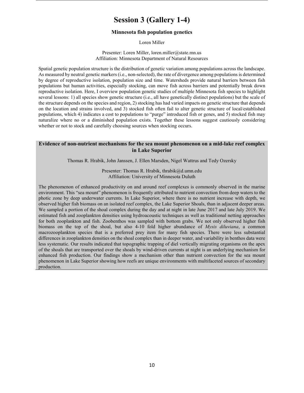# **Session 3 (Gallery 1-4)**

# **Minnesota fish population genetics**

#### Loren Miller

Presenter: Loren Miller, loren.miller@state.mn.us Affiliation: Minnesota Department of Natural Resources

Spatial genetic population structure is the distribution of genetic variation among populations across the landscape. As measured by neutral genetic markers (i.e., non-selected), the rate of divergence among populations is determined by degree of reproductive isolation, population size and time. Watersheds provide natural barriers between fish populations but human activities, especially stocking, can move fish across barriers and potentially break down reproductive isolation. Here, I overview population genetic studies of multiple Minnesota fish species to highlight several lessons: 1) all species show genetic structure (i.e., all have genetically distinct populations) but the scale of the structure depends on the species and region, 2) stocking has had varied impacts on genetic structure that depends on the location and strains involved, and 3) stocked fish often fail to alter genetic structure of local/established populations, which 4) indicates a cost to populations to "purge" introduced fish or genes, and 5) stocked fish may naturalize where no or a diminished population exists. Together these lessons suggest cautiously considering whether or not to stock and carefully choosing sources when stocking occurs.

#### **Evidence of non-nutrient mechanisms for the sea mount phenomenon on a mid-lake reef complex in Lake Superior**

Thomas R. Hrabik, John Janssen, J. Ellen Marsden, Nigel Wattrus and Tedy Ozersky

Presenter: Thomas R. Hrabik, thrabik@d.umn.edu Affiliation: University of Minnesota Duluth

The phenomenon of enhanced productivity on and around reef complexes is commonly observed in the marine environment. This "sea mount" phenomenon is frequently attributed to nutrient convection from deep waters to the photic zone by deep underwater currents. In Lake Superior, where there is no nutrient increase with depth, we observed higher fish biomass on an isolated reef complex, the Lake Superior Shoals, than in adjacent deeper areas. We sampled a portion of the shoal complex during the day and at night in late June 2017 and late July 2019. We estimated fish and zooplankton densities using hydroacoustic techniques as well as traditional netting approaches for both zooplankton and fish. Zoobenthos was sampled with bottom grabs. We not only observed higher fish biomass on the top of the shoal, but also 4-10 fold higher abundance of *Mysis diluviana*, a common macrozooplankton species that is a preferred prey item for many fish species. There were less substantial differences in zooplankton densities on the shoal complex than in deeper water, and variability in benthos data were less systematic. Our results indicated that topographic trapping of diel vertically migrating organisms on the apex of the shoals that are transported over the shoals by wind-driven currents at night is an underlying mechanism for enhanced fish production. Our findings show a mechanism other than nutrient convection for the sea mount phenomenon in Lake Superior showing how reefs are unique environments with multifaceted sources of secondary production.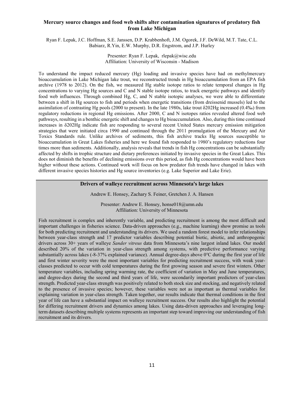# **Mercury source changes and food web shifts alter contamination signatures of predatory fish from Lake Michigan**

Ryan F. Lepak, J.C. Hoffman, S.E. Janssen, D.P. Krabbenhoft, J.M. Ogorek, J.F. DeWild, M.T. Tate, C.L. Babiarz, R.Yin, E.W. Murphy, D.R. Engstrom, and J.P. Hurley

> . Presenter: Ryan F. Lepak, rlepak@wisc.edu Affiliation: University of Wisconsin - Madison

To understand the impact reduced mercury (Hg) loading and invasive species have had on methylmercury bioaccumulation in Lake Michigan lake trout, we reconstructed trends in Hg bioaccumulation from an EPA fish archive (1978 to 2012). On the fish, we measured Hg stable isotope ratios to relate temporal changes in Hg concentrations to varying Hg sources and C and N stable isotope ratios, to track energetic pathways and identify food web influences. Through combined Hg, C, and N stable isotopic analyses, we were able to differentiate between a shift in Hg sources to fish and periods when energetic transitions (from dreissenid mussels) led to the assimilation of contrasting Hg pools (2000 to present). In the late 1980s, lake trout δ202Hg increased (0.4‰) from regulatory reductions in regional Hg emissions. After 2000, C and N isotopes ratios revealed altered food web pathways, resulting in a benthic energetic shift and changes to Hg bioaccumulation. Also, during this time continued increases in δ202Hg indicate fish are responding to several recent United States mercury emission mitigation strategies that were initiated circa 1990 and continued through the 2011 promulgation of the Mercury and Air Toxics Standards rule. Unlike archives of sediments, this fish archive tracks Hg sources susceptible to bioaccumulation in Great Lakes fisheries and here we found fish responded to 1980's regulatory reductions four times more than sediments. Additionally, analysis reveals that trends in fish Hg concentrations can be substantially affected by shifts in trophic structure and dietary preferences initiated by invasive species in the Great Lakes. This does not diminish the benefits of declining emissions over this period, as fish Hg concentrations would have been higher without these actions. Continued work will focus on how predator fish trends have changed in lakes with different invasive species histories and Hg source inventories (e.g. Lake Superior and Lake Erie).

#### **Drivers of walleye recruitment across Minnesota's large lakes**

Andrew E. Honsey, Zachary S. Feiner, Gretchen J. A. Hansen

Presenter: Andrew E. Honsey, honse018@umn.edu Affiliation: University of Minnesota

Fish recruitment is complex and inherently variable, and predicting recruitment is among the most difficult and important challenges in fisheries science. Data-driven approaches (e.g., machine learning) show promise as tools for both predicting recruitment and understanding its drivers. We used a random forest model to infer relationships between year-class strength and 17 predictor variables describing potential biotic, abiotic, and anthropogenic drivers across 30+ years of walleye *Sander vitreus* data from Minnesota's nine largest inland lakes. Our model described 20% of the variation in year-class strength among systems, with predictive performance varying substantially across lakes (-8-37% explained variance). Annual degree-days above 0℃ during the first year of life and first winter severity were the most important variables for predicting recruitment success, with weak yearclasses predicted to occur with cold temperatures during the first growing season and severe first winters. Other temperature variables, including spring warming rate, the coefficient of variation in May and June temperatures, and degree-days during the second and third years of life, were secondarily important predictors of year-class strength. Predicted year-class strength was positively related to both stock size and stocking, and negatively related to the presence of invasive species; however, these variables were not as important as thermal variables for explaining variation in year-class strength. Taken together, our results indicate that thermal conditions in the first year of life can have a substantial impact on walleye recruitment success. Our results also highlight the potential for differing recruitment drivers and dynamics among lakes. Using data-driven approaches and leveraging longterm datasets describing multiple systems represents an important step toward improving our understanding of fish recruitment and its drivers.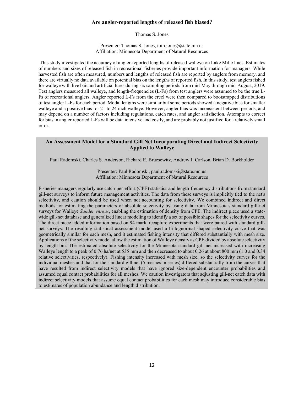### **Are angler-reported lengths of released fish biased?**

Thomas S. Jones

Presenter: Thomas S. Jones, tom.jones@state.mn.us Affiliation: Minnesota Department of Natural Resources

This study investigated the accuracy of angler-reported lengths of released walleye on Lake Mille Lacs. Estimates of numbers and sizes of released fish in recreational fisheries provide important information for managers. While harvested fish are often measured, numbers and lengths of released fish are reported by anglers from memory, and there are virtually no data available on potential bias on the lengths of reported fish. In this study, test anglers fished for walleye with live bait and artificial lures during six sampling periods from mid-May through mid-August, 2019. Test anglers measured all walleye, and length-frequencies (L-Fs) from test anglers were assumed to be the true L-Fs of recreational anglers. Angler reported L-Fs from the creel were then compared to bootstrapped distributions of test angler L-Fs for each period. Modal lengths were similar but some periods showed a negative bias for smaller walleye and a positive bias for 21 to 24 inch walleye. However, angler bias was inconsistent between periods, and may depend on a number of factors including regulations, catch rates, and angler satisfaction. Attempts to correct for bias in angler reported L-Fs will be data intensive and costly, and are probably not justified for a relatively small error.

# **An Assessment Model for a Standard Gill Net Incorporating Direct and Indirect Selectivity Applied to Walleye**

Paul Radomski, Charles S. Anderson, Richard E. Bruesewitz, Andrew J. Carlson, Brian D. Borkholder

Presenter: Paul Radomski, paul.radomski@state.mn.us Affiliation: Minnesota Department of Natural Resources

Fisheries managers regularly use catch-per-effort (CPE) statistics and length-frequency distributions from standard gill-net surveys to inform future management activities. The data from these surveys is implicitly tied to the net's selectivity, and caution should be used when not accounting for selectivity. We combined indirect and direct methods for estimating the parameters of absolute selectivity by using data from Minnesota's standard gill-net surveys for Walleye *Sander vitreus*, enabling the estimation of density from CPE. The indirect piece used a statewide gill-net database and generalized linear modeling to identify a set of possible shapes for the selectivity curves. The direct piece added information based on 94 mark–recapture experiments that were paired with standard gillnet surveys. The resulting statistical assessment model used a bi-lognormal-shaped selectivity curve that was geometrically similar for each mesh, and it estimated fishing intensity that differed substantially with mesh size. Applications of the selectivity model allow the estimation of Walleye density as CPE divided by absolute selectivity by length-bin. The estimated absolute selectivity for the Minnesota standard gill net increased with increasing Walleye length to a peak of 0.76 ha/net at 535 mm and then decreased to about 0.26 at about 800 mm (1.0 and 0.34 relative selectivities, respectively). Fishing intensity increased with mesh size, so the selectivity curves for the individual meshes and that for the standard gill net (5 meshes in series) differed substantially from the curves that have resulted from indirect selectivity models that have ignored size-dependent encounter probabilities and assumed equal contact probabilities for all meshes. We caution investigators that adjusting gill-net catch data with indirect selectivity models that assume equal contact probabilities for each mesh may introduce considerable bias to estimates of population abundance and length distribution.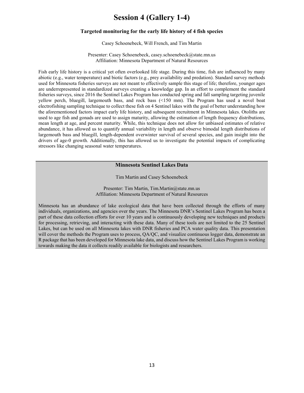# **Session 4 (Gallery 1-4)**

# **Targeted monitoring for the early life history of 4 fish species**

#### Casey Schoenebeck, Will French, and Tim Martin

Presenter: Casey Schoenebeck, casey.schoenebeck@state.mn.us Affiliation: Minnesota Department of Natural Resources

Fish early life history is a critical yet often overlooked life stage. During this time, fish are influenced by many abiotic (e.g., water temperature) and biotic factors (e.g., prey availability and predation). Standard survey methods used for Minnesota fisheries surveys are not meant to effectively sample this stage of life; therefore, younger ages are underrepresented in standardized surveys creating a knowledge gap. In an effort to complement the standard fisheries surveys, since 2016 the Sentinel Lakes Program has conducted spring and fall sampling targeting juvenile yellow perch, bluegill, largemouth bass, and rock bass (<150 mm). The Program has used a novel boat electrofishing sampling technique to collect these fish on 4 Sentinel lakes with the goal of better understanding how the aforementioned factors impact early life history, and subsequent recruitment in Minnesota lakes. Otoliths are used to age fish and gonads are used to assign maturity, allowing the estimation of length frequency distributions, mean length at age, and percent maturity. While, this technique does not allow for unbiased estimates of relative abundance, it has allowed us to quantify annual variability in length and observe bimodal length distributions of largemouth bass and bluegill, length-dependent overwinter survival of several species, and gain insight into the drivers of age-0 growth. Additionally, this has allowed us to investigate the potential impacts of complicating stressors like changing seasonal water temperatures.

#### **Minnesota Sentinel Lakes Data**

Tim Martin and Casey Schoenebeck

Presenter: Tim Martin, Tim.Martin@state.mn.us Affiliation: Minnesota Department of Natural Resources

Minnesota has an abundance of lake ecological data that have been collected through the efforts of many individuals, organizations, and agencies over the years. The Minnesota DNR's Sentinel Lakes Program has been a part of these data collection efforts for over 10 years and is continuously developing new techniques and products for processing, retrieving, and interacting with these data. Many of these tools are not limited to the 25 Sentinel Lakes, but can be used on all Minnesota lakes with DNR fisheries and PCA water quality data. This presentation will cover the methods the Program uses to process, QA/QC, and visualize continuous logger data, demonstrate an R package that has been developed for Minnesota lake data, and discuss how the Sentinel Lakes Program is working towards making the data it collects readily available for biologists and researchers.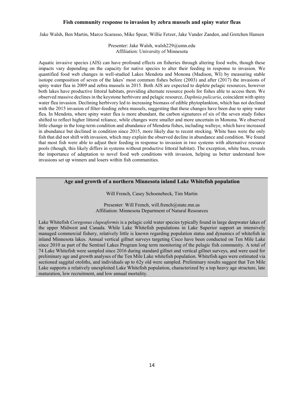#### **Fish community response to invasion by zebra mussels and spiny water fleas**

Jake Walsh, Ben Martin, Marco Scarasso, Mike Spear, Willie Fetzer, Jake Vander Zanden, and Gretchen Hansen

Presenter: Jake Walsh, walsh229@umn.edu Affiliation: University of Minnesota

Aquatic invasive species (AIS) can have profound effects on fisheries through altering food webs, though these impacts vary depending on the capacity for native species to alter their feeding in response to invasion. We quantified food web changes in well-studied Lakes Mendota and Monona (Madison, WI) by measuring stable isotope composition of seven of the lakes' most common fishes before (2003) and after (2017) the invasions of spiny water flea in 2009 and zebra mussels in 2015. Both AIS are expected to deplete pelagic resources, however both lakes have productive littoral habitats, providing alternate resource pools for fishes able to access them. We observed massive declines in the keystone herbivore and pelagic resource, *Daphnia pulicaria*, coincident with spiny water flea invasion. Declining herbivory led to increasing biomass of edible phytoplankton, which has not declined with the 2015 invasion of filter-feeding zebra mussels, suggesting that these changes have been due to spiny water flea. In Mendota, where spiny water flea is more abundant, the carbon signatures of six of the seven study fishes shifted to reflect higher littoral reliance, while changes were smaller and more uncertain in Monona. We observed little change in the long-term condition and abundance of Mendota fishes, including walleye, which have increased in abundance but declined in condition since 2015, more likely due to recent stocking. White bass were the only fish that did not shift with invasion, which may explain the observed decline in abundance and condition. We found that most fish were able to adjust their feeding in response to invasion in two systems with alternative resource pools (though, this likely differs in systems without productive littoral habitat). The exception, white bass, reveals the importance of adaptation to novel food web conditions with invasion, helping us better understand how invasions set up winners and losers within fish communities.

# **Age and growth of a northern Minnesota inland Lake Whitefish population**

Will French, Casey Schoenebeck, Tim Martin

Presenter: Will French, will.french@state.mn.us Affiliation: Minnesota Department of Natural Resources

Lake Whitefish *Coregonus clupeaformis* is a pelagic cold water species typically found in large deepwater lakes of the upper Midwest and Canada. While Lake Whitefish populations in Lake Superior support an intensively managed commercial fishery, relatively little is known regarding population status and dynamics of whitefish in inland Minnesota lakes. Annual vertical gillnet surveys targeting Cisco have been conducted on Ten Mile Lake since 2010 as part of the Sentinel Lakes Program long term monitoring of the pelagic fish community. A total of 74 Lake Whitefish were sampled since 2016 during standard gillnet and vertical gillnet surveys, and were used for preliminary age and growth analyses of the Ten Mile Lake whitefish population. Whitefish ages were estimated via sectioned saggital otoliths, and individuals up to 62y old were sampled. Preliminary results suggest that Ten Mile Lake supports a relatively unexploited Lake Whitefish population, characterized by a top heavy age structure, late maturation, low recruitment, and low annual mortality.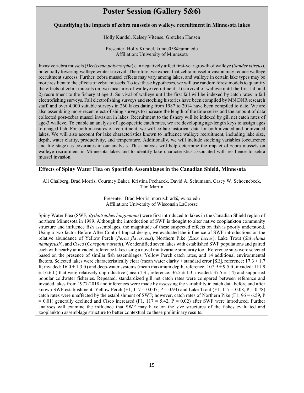# **Poster Session (Gallery 5&6)**

#### **Quantifying the impacts of zebra mussels on walleye recruitment in Minnesota lakes**

Holly Kundel, Kelsey Vitense, Gretchen Hansen

Presenter: Holly Kundel, kunde058@umn.edu Affiliation: University of Minnesota

Invasive zebra mussels (*Dreissena polymorpha*) can negatively affect first-year growth of walleye (*Sander vitreus*), potentially lowering walleye winter survival. Therefore, we expect that zebra mussel invasion may reduce walleye recruitment success. Further, zebra mussel effects may vary among lakes, and walleye in certain lake types may be more resilient to the effects of zebra mussels. To test these hypotheses, we will use random forest models to quantify the effects of zebra mussels on two measures of walleye recruitment: 1) survival of walleye until the first fall and 2) recruitment to the fishery at age 3. Survival of walleye until the first fall will be indexed by catch rates in fall electrofishing surveys. Fall electrofishing surveys and stocking histories have been compiled by MN DNR research staff, and over 4,000 suitable surveys in 260 lakes dating from 1987 to 2014 have been compiled to date. We are also assembling more recent electrofishing surveys to increase the length of the time series and the amount of data collected post-zebra mussel invasion in lakes. Recruitment to the fishery will be indexed by gill net catch rates of age-3 walleye. To enable an analysis of age-specific catch rates, we are developing age-length keys to assign ages to unaged fish. For both measures of recruitment, we will collate historical data for both invaded and uninvaded lakes. We will also account for lake characteristics known to influence walleye recruitment, including lake size, depth, water clarity, productivity, and temperature. Additionally, we will include stocking variables (occurrence and life stage) as covariates in our analysis. This analysis will help determine the impact of zebra mussels on walleye recruitment in Minnesota lakes and to identify lake characteristics associated with resilience to zebra mussel invasion.

#### **Effects of Spiny Water Flea on Sportfish Assemblages in the Canadian Shield, Minnesota**

Ali Chalberg, Brad Morris, Courtney Baker, Kristina Pechacek, David A. Schumann, Casey W. Schoenebeck, Tim Martin

> Presenter: Brad Morris, morris.brad@uwlax.edu Affiliation: University of Wisconsin LaCrosse

Spiny Water Flea (SWF; *Bythotrephes longimanus*) were first introduced to lakes in the Canadian Shield region of northern Minnesota in 1989. Although the introduction of SWF is thought to alter native zooplankton community structure and influence fish assemblages, the magnitude of these suspected effects on fish is poorly understood. Using a two-factor Before-After Control-Impact design, we evaluated the influence of SWF introductions on the relative abundance of Yellow Perch (*Perca flavescens*), Northern Pike (*Esox lucius*), Lake Trout (*Salvelinus namaycush*), and Cisco (*Coregonus artedi*). We identified seven lakes with established SWF populations and paired each with nearby uninvaded, reference lakes using a novel multivariate similarity tool. Reference sites were selected based on the presence of similar fish assemblages, Yellow Perch catch rates, and 14 additional environmental factors. Selected lakes were characteristically clear (mean water clarity  $\pm$  standard error [SE], reference: 17.3  $\pm$  1.7 ft; invaded:  $16.0 \pm 1.3$  ft) and deep-water systems (mean maximum depth, reference:  $107.9 \pm 9.5$  ft; invaded: 111.9  $\pm$  16.6 ft) that were relatively unproductive (mean TSI, reference: 36.5  $\pm$  1.3; invaded: 37.5  $\pm$  1.4) and supported popular coldwater fisheries. Repeated, standardized gill net catch rates were compared between reference and invaded lakes from 1977-2018 and inferences were made by assessing the variability in catch data before and after known SWF establishment. Yellow Perch (F1,  $117 = 0.007$ , P = 0.93) and Lake Trout (F1,  $117 = 0.08$ , P = 0.78) catch rates were unaffected by the establishment of SWF; however, catch rates of Northern Pike (F1,  $96 = 6.59$ , P  $= 0.01$ ) generally declined and Cisco increased (F1, 117 = 5.42, P = 0.02) after SWF were introduced. Further analyses will examine the influence that SWF may have on the size structures of the fishes evaluated and zooplankton assemblage structure to better contextualize these preliminary results.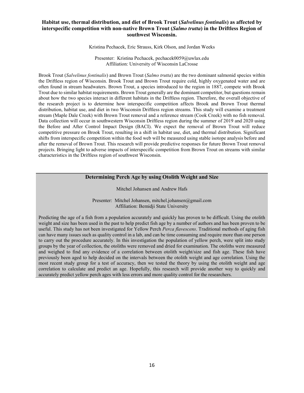# **Habitat use, thermal distribution, and diet of Brook Trout (***Salvelinus fontinalis***) as affected by interspecific competition with non-native Brown Trout (***Salmo trutta***) in the Driftless Region of southwest Wisconsin.**

Kristina Pechacek, Eric Strauss, Kirk Olson, and Jordan Weeks

Presenter: Kristina Pechacek, pechacek0059@uwlax.edu Affiliation: University of Wisconsin LaCrosse

Brook Trout (*Salvelinus fontinalis*) and Brown Trout (*Salmo trutta*) are the two dominant salmonid species within the Driftless region of Wisconsin. Brook Trout and Brown Trout require cold, highly oxygenated water and are often found in stream headwaters. Brown Trout, a species introduced to the region in 1887, compete with Brook Trout due to similar habitat requirements. Brown Trout generally are the dominant competitor, but questions remain about how the two species interact in different habitats in the Driftless region. Therefore, the overall objective of the research project is to determine how interspecific competition affects Brook and Brown Trout thermal distribution, habitat use, and diet in two Wisconsin Driftless region streams. This study will examine a treatment stream (Maple Dale Creek) with Brown Trout removal and a reference stream (Cook Creek) with no fish removal. Data collection will occur in southwestern Wisconsin Driftless region during the summer of 2019 and 2020 using the Before and After Control Impact Design (BACI). We expect the removal of Brown Trout will reduce competitive pressure on Brook Trout, resulting in a shift in habitat use, diet, and thermal distribution. Significant shifts from interspecific competition within the food web will be measured using stable isotope analysis before and after the removal of Brown Trout. This research will provide predictive responses for future Brown Trout removal projects. Bringing light to adverse impacts of interspecific competition from Brown Trout on streams with similar characteristics in the Driftless region of southwest Wisconsin.

#### **Determining Perch Age by using Otolith Weight and Size**

Mitchel Johansen and Andrew Hafs

Presenter: Mitchel Johansen, mitchel.johansen@gmail.com Affiliation: Bemidji State University

Predicting the age of a fish from a population accurately and quickly has proven to be difficult. Using the otolith weight and size has been used in the past to help predict fish age by a number of authors and has been proven to be useful. This study has not been investigated for Yellow Perch *Perca flavescens*. Traditional methods of aging fish can have many issues such as quality control in a lab, and can be time consuming and require more than one person to carry out the procedure accurately. In this investigation the population of yellow perch, were split into study groups by the year of collection, the otoliths were removed and dried for examination. The otoliths were measured and weighed to find any evidence of a correlation between otolith weight/size and fish age. These fish have previously been aged to help decided on the intervals between the otolith weight and age correlation. Using the most recent study group for a test of accuracy, then we tested the theory by using the otolith weight and age correlation to calculate and predict an age. Hopefully, this research will provide another way to quickly and accurately predict yellow perch ages with less errors and more quality control for the researchers.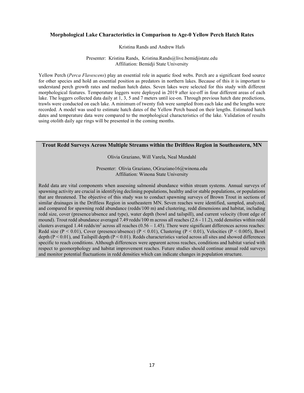#### **Morphological Lake Characteristics in Comparison to Age-0 Yellow Perch Hatch Rates**

#### Kristina Rands and Andrew Hafs

#### Presenter: Kristina Rands, Kristina.Rands@live.bemidjistate.edu Affiliation: Bemidji State University

Yellow Perch (*Perca Flavescens*) play an essential role in aquatic food webs. Perch are a significant food source for other species and hold an essential position as predators in northern lakes. Because of this it is important to understand perch growth rates and median hatch dates. Seven lakes were selected for this study with different morphological features. Temperature loggers were deployed in 2019 after ice-off in four different areas of each lake. The loggers collected data daily at 1, 3, 5 and 7 meters until ice-on. Through previous hatch date predictions, trawls were conducted on each lake. A minimum of twenty fish were sampled from each lake and the lengths were recorded. A model was used to estimate hatch dates of the Yellow Perch based on their lengths. Estimated hatch dates and temperature data were compared to the morphological characteristics of the lake. Validation of results using otolith daily age rings will be presented in the coming months.

# **Trout Redd Surveys Across Multiple Streams within the Driftless Region in Southeastern, MN**

Olivia Graziano, Will Varela, Neal Mundahl

Presenter: Olivia Graziano, OGraziano16@winona.edu Affiliation: Winona State University

Redd data are vital components when assessing salmonid abundance within stream systems. Annual surveys of spawning activity are crucial in identifying declining populations, healthy and/or stable populations, or populations that are threatened. The objective of this study was to conduct spawning surveys of Brown Trout in sections of similar drainages in the Driftless Region in southeastern MN. Seven reaches were identified, sampled, analyzed, and compared for spawning redd abundance (redds/100 m) and clustering, redd dimensions and habitat, including redd size, cover (presence/absence and type), water depth (bowl and tailspill), and current velocity (front edge of mound). Trout redd abundance averaged 7.49 redds/100 m across all reaches (2.6 - 11.2), redd densities within redd clusters averaged 1.44 redds/m<sup>2</sup> across all reaches  $(0.56 - 1.45)$ . There were significant differences across reaches: Redd size (P < 0.01), Cover (presence/absence) (P < 0.01), Clustering (P < 0.01), Velocities (P < 0.005), Bowl depth  $(P \le 0.01)$ , and Tailspill depth  $(P \le 0.01)$ . Redds characteristics varied across all sites and showed differences specific to reach conditions. Although differences were apparent across reaches, conditions and habitat varied with respect to geomorphology and habitat improvement reaches. Future studies should continue annual redd surveys and monitor potential fluctuations in redd densities which can indicate changes in population structure.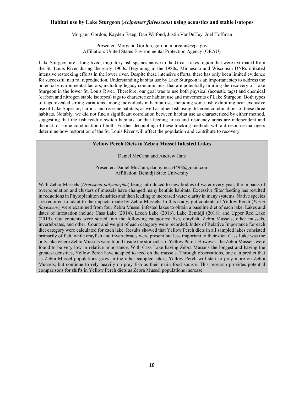#### **Habitat use by Lake Sturgeon (***Acipenser fulvescens***) using acoustics and stable isotopes**

Morgann Gordon, Kayden Estep, Dan Wilfond, Justin VanDeHey, Joel Hoffman

Presenter: Morgann Gordon, gordon.morgann@epa.gov Affiliation: United States Environmental Protection Agency (ORAU)

Lake Sturgeon are a long-lived, migratory fish species native to the Great Lakes region that were extirpated from the St. Louis River during the early 1900s. Beginning in the 1980s, Minnesota and Wisconsin DNRs initiated intensive restocking efforts in the lower river. Despite these intensive efforts, there has only been limited evidence for successful natural reproduction. Understanding habitat use by Lake Sturgeon is an important step to address the potential environmental factors, including legacy contaminants, that are potentially limiting the recovery of Lake Sturgeon in the lower St. Louis River. Therefore, our goal was to use both physical (acoustic tags) and chemical (carbon and nitrogen stable isotopes) tags to characterize habitat use and movements of Lake Sturgeon. Both types of tags revealed strong variations among individuals in habitat use, including some fish exhibiting near exclusive use of Lake Superior, harbor, and riverine habitats, as well as other fish using different combinations of these three habitats. Notably, we did not find a significant correlation between habitat use as characterized by either method, suggesting that the fish readily switch habitats, or that feeding areas and residency areas are independent and distinct, or some combination of both. Further decoupling of these tracking methods will aid resource managers determine how restoration of the St. Louis River will affect the population and contribute to recovery.

#### **Yellow Perch Diets in Zebra Mussel Infested Lakes**

Daniel McCann and Andrew Hafs

Presenter: Daniel McCann, dannymcca4498@gmail.com Affiliation: Bemidji State University

With Zebra Mussels (*Dreissena polymorpha*) being introduced to new bodies of water every year, the impacts of overpopulation and clusters of mussels have changed many benthic habitats. Excessive filter feeding has resulted in reductions in Phytoplankton densities and then leading to increased water clarity in many systems. Native species are required to adapt to the impacts made by Zebra Mussels. In this study, gut contents of Yellow Perch (*Perca flavescens*) were examined from four Zebra Mussel infested lakes to obtain a baseline diet of each lake. Lakes and dates of infestation include Cass Lake (2014), Leech Lake (2016), Lake Bemidji (2018), and Upper Red Lake (2019). Gut contents were sorted into the following categories: fish, crayfish, Zebra Mussels, other mussels, invertebrates, and other. Count and weight of each category were recorded. Index of Relative Importance for each diet category were calculated for each lake. Results showed that Yellow Perch diets in all sampled lakes consisted primarily of fish, while crayfish and invertebrates were present but less important to their diet. Cass Lake was the only lake where Zebra Mussels were found inside the stomachs of Yellow Perch. However, the Zebra Mussels were found to be very low in relative importance. With Cass Lake having Zebra Mussels the longest and having the greatest densities, Yellow Perch have adapted to feed on the mussels. Through observations, one can predict that as Zebra Mussel populations grow in the other sampled lakes, Yellow Perch will start to prey more on Zebra Mussels, but continue to rely heavily on prey fish as their main food source. This research provides potential comparisons for shifts in Yellow Perch diets as Zebra Mussel populations increase.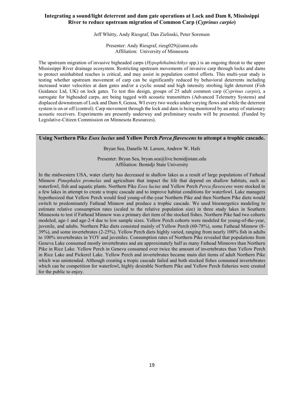# **Integrating a sound/light deterrent and dam gate operations at Lock and Dam 8, Mississippi River to reduce upstream migration of Common Carp (***Cyprinus carpio***)**

#### Jeff Whitty, Andy Riesgraf, Dan Zielinski, Peter Sorensen

Presenter: Andy Riesgraf, riesg029@umn.edu Affiliation: University of Minnesota

The upstream migration of invasive bigheaded carps (*Hypophthalmichthys* spp.) is an ongoing threat to the upper Mississippi River drainage ecosystem. Restricting upstream movements of invasive carp through locks and dams to protect uninhabited reaches is critical, and may assist in population control efforts. This multi-year study is testing whether upstream movement of carp can be significantly reduced by behavioral deterrents including increased water velocities at dam gates and/or a cyclic sound and high intensity strobing light deterrent (Fish Guidance Ltd, UK) on lock gates. To test this design, groups of 25 adult common carp (*Cyprinus carpio*), a surrogate for bigheaded carps, are being tagged with acoustic transmitters (Advanced Telemetry Systems) and displaced downstream of Lock and Dam 8, Genoa, WI every two weeks under varying flows and while the deterrent system is on or off (control). Carp movement through the lock and dam is being monitored by an array of stationary acoustic receivers. Experiments are presently underway and preliminary results will be presented. (Funded by Legislative-Citizen Commission on Minnesota Resources).

# **Using Northern Pike** *Esox lucius* **and Yellow Perch** *Perca flavescens* **to attempt a trophic cascade.**

Bryan Sea, Danelle M. Larson, Andrew W. Hafs

Presenter: Bryan Sea, bryan.sea@live.bemidjistate.edu Affiliation: Bemidji State University

In the midwestern USA, water clarity has decreased in shallow lakes as a result of large populations of Fathead Minnow *Pimephales promelas* and agriculture that impact the life that depend on shallow habitats, such as waterfowl, fish and aquatic plants. Northern Pike *Esox lucius* and Yellow Perch *Perca flavescens* were stocked in a few lakes in attempt to create a tropic cascade and to improve habitat conditions for waterfowl. Lake managers hypothesized that Yellow Perch would feed young-of-the-year Northern Pike and then Northern Pike diets would switch to predominately Fathead Minnow and produce a trophic cascade. We used bioenergetics modeling to estimate relative consumption rates (scaled to the relative population size) in three study lakes in Southern Minnesota to test if Fathead Minnow was a primary diet item of the stocked fishes. Northern Pike had two cohorts modeled, age-1 and age-2-4 due to low sample sizes. Yellow Perch cohorts were modeled for young-of-the-year, juvenile, and adults. Northern Pike diets consisted mainly of Yellow Perch (60-78%), some Fathead Minnow (8- 39%), and some invertebrates (2-25%). Yellow Perch diets highly varied, ranging from nearly 100% fish in adults to 100% invertebrates in YOY and juveniles. Consumption rates of Northern Pike revealed that populations from Geneva Lake consumed mostly invertebrates and ate approximately half as many Fathead Minnows than Northern Pike in Rice Lake. Yellow Perch in Geneva consumed over twice the amount of invertebrates than Yellow Perch in Rice Lake and Pickerel Lake. Yellow Perch and invertebrates became main diet items of adult Northern Pike which was unintended. Although creating a tropic cascade failed and both stocked fishes consumed invertebrates which can be competition for waterfowl, highly desirable Northern Pike and Yellow Perch fisheries were created for the public to enjoy.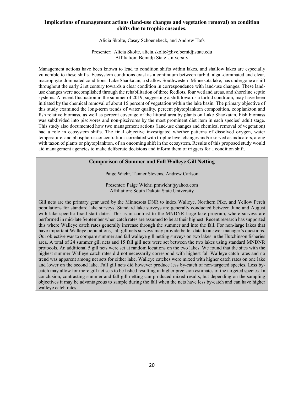# **Implications of management actions (land-use changes and vegetation removal) on condition shifts due to trophic cascades.**

Alicia Skolte, Casey Schoenebeck, and Andrew Hafs

Presenter: Alicia Skolte, alicia.skolte@live.bemidjistate.edu Affiliation: Bemidji State University

Management actions have been known to lead to condition shifts within lakes, and shallow lakes are especially vulnerable to these shifts. Ecosystem conditions exist as a continuum between turbid, algal-dominated and clear, macrophyte-dominated conditions. Lake Shaokatan, a shallow Southwestern Minnesota lake, has undergone a shift throughout the early 21st century towards a clear condition in correspondence with land-use changes. These landuse changes were accomplished through the rehabilitation of three feedlots, four wetland areas, and shoreline septic systems. A recent fluctuation in the summer of 2019, suggesting a shift towards a turbid condition, may have been initiated by the chemical removal of about 15 percent of vegetation within the lake basin. The primary objective of this study examined the long-term trends of water quality, percent phytoplankton composition, zooplankton and fish relative biomass, as well as percent coverage of the littoral area by plants on Lake Shaokatan. Fish biomass was subdivided into piscivores and non-piscivores by the most prominent diet item in each species' adult stage. This study also documented how two management actions (land-use changes and chemical removal of vegetation) had a role in ecosystem shifts. The final objective investigated whether patterns of dissolved oxygen, water temperature, and phosphorus concentrations correlated with trophic level changes and/or served as indicators, along with taxon of plants or phytoplankton, of an oncoming shift in the ecosystem. Results of this proposed study would aid management agencies to make deliberate decisions and inform them of triggers for a condition shift.

# **Comparison of Summer and Fall Walleye Gill Netting**

Paige Wiehr, Tanner Stevens, Andrew Carlson

Presenter: Paige Wiehr, pmwiehr@yahoo.com Affiliation: South Dakota State University

Gill nets are the primary gear used by the Minnesota DNR to index Walleye, Northern Pike, and Yellow Perch populations for standard lake surveys. Standard lake surveys are generally conducted between June and August with lake specific fixed start dates. This is in contrast to the MNDNR large lake program, where surveys are performed in mid-late September when catch rates are assumed to be at their highest. Recent research has supported this where Walleye catch rates generally increase through the summer and into the fall. For non-large lakes that have important Walleye populations, fall gill nets surveys may provide better data to answer manager's questions. Our objective was to compare summer and fall walleye gill netting surveys on two lakes in the Hutchinson fisheries area. A total of 24 summer gill nets and 15 fall gill nets were set between the two lakes using standard MNDNR protocols. An additional 5 gill nets were set at random locations on the two lakes. We found that the sites with the highest summer Walleye catch rates did not necessarily correspond with highest fall Walleye catch rates and no trend was apparent among net sets for either lake. Walleye catches were mixed with higher catch rates on one lake and lower on the second lake. Fall gill nets did however produce less by-catch of non-targeted species. Less bycatch may allow for more gill net sets to be fished resulting in higher precision estimates of the targeted species. In conclusion, contrasting summer and fall gill netting can produced mixed results, but depending on the sampling objectives it may be advantageous to sample during the fall when the nets have less by-catch and can have higher walleye catch rates.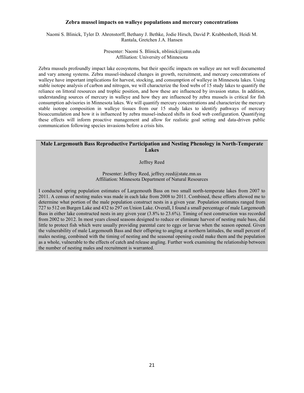#### **Zebra mussel impacts on walleye populations and mercury concentrations**

Naomi S. Blinick, Tyler D. Ahrenstorff, Bethany J. Bethke, Jodie Hirsch, David P. Krabbenhoft, Heidi M. Rantala, Gretchen J.A. Hansen

> Presenter: Naomi S. Blinick, nblinick@umn.edu Affiliation: University of Minnesota

Zebra mussels profoundly impact lake ecosystems, but their specific impacts on walleye are not well documented and vary among systems. Zebra mussel-induced changes in growth, recruitment, and mercury concentrations of walleye have important implications for harvest, stocking, and consumption of walleye in Minnesota lakes. Using stable isotope analysis of carbon and nitrogen, we will characterize the food webs of 15 study lakes to quantify the reliance on littoral resources and trophic position, and how these are influenced by invasion status. In addition, understanding sources of mercury in walleye and how they are influenced by zebra mussels is critical for fish consumption advisories in Minnesota lakes. We will quantify mercury concentrations and characterize the mercury stable isotope composition in walleye tissues from our 15 study lakes to identify pathways of mercury bioaccumulation and how it is influenced by zebra mussel-induced shifts in food web configuration. Quantifying these effects will inform proactive management and allow for realistic goal setting and data-driven public communication following species invasions before a crisis hits.

# **Male Largemouth Bass Reproductive Participation and Nesting Phenology in North-Temperate Lakes**

Jeffrey Reed

Presenter: Jeffrey Reed, jeffrey.reed@state.mn.us Affiliation: Minnesota Department of Natural Resources

I conducted spring population estimates of Largemouth Bass on two small north-temperate lakes from 2007 to 2011. A census of nesting males was made in each lake from 2008 to 2011. Combined, these efforts allowed me to determine what portion of the male population construct nests in a given year. Population estimates ranged from 727 to 512 on Burgen Lake and 432 to 297 on Union Lake. Overall, I found a small percentage of male Largemouth Bass in either lake constructed nests in any given year (3.8% to 23.6%). Timing of nest construction was recorded from 2002 to 2012. In most years closed seasons designed to reduce or eliminate harvest of nesting male bass, did little to protect fish which were usually providing parental care to eggs or larvae when the season opened. Given the vulnerability of male Largemouth Bass and their offspring to angling at northern latitudes, the small percent of males nesting, combined with the timing of nesting and the seasonal opening could make them and the population as a whole, vulnerable to the effects of catch and release angling. Further work examining the relationship between the number of nesting males and recruitment is warranted.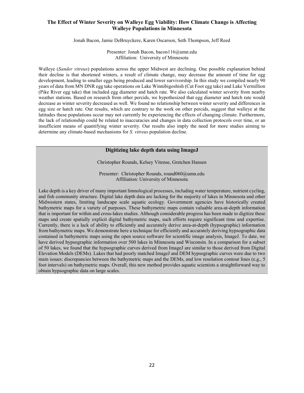# **The Effect of Winter Severity on Walleye Egg Viability: How Climate Change is Affecting Walleye Populations in Minnesota**

Jonah Bacon, Jamie DeBruyckere, Karen Oscarson, Seth Thompson, Jeff Reed

Presenter: Jonah Bacon, bacon116@umn.edu Affiliation: University of Minnesota

Walleye (*Sander vitreus*) populations across the upper Midwest are declining. One possible explanation behind their decline is that shortened winters, a result of climate change, may decrease the amount of time for egg development, leading to smaller eggs being produced and lower survivorship. In this study we compiled nearly 90 years of data from MN DNR egg take operations on Lake Winnibigoshish (Cut Foot egg take) and Lake Vermillion (Pike River egg take) that included egg diameter and hatch rate. We also calculated winter severity from nearby weather stations. Based on research from other percids, we hypothesized that egg diameter and hatch rate would decrease as winter severity decreased as well. We found no relationship between winter severity and differences in egg size or hatch rate. Our results, which are contrary to the work on other percids, suggest that walleye at the latitudes these populations occur may not currently be experiencing the effects of changing climate. Furthermore, the lack of relationship could be related to inaccuracies and changes in data collection protocols over time, or an insufficient means of quantifying winter severity. Our results also imply the need for more studies aiming to determine any climate-based mechanisms for *S. vitreus* population decline.

# **Digitizing lake depth data using ImageJ**

Christopher Rounds, Kelsey Vitense, Gretchen Hansen

Presenter: Christopher Rounds, round060@umn.edu Affiliation: University of Minnesota

Lake depth is a key driver of many important limnological processes, including water temperature, nutrient cycling, and fish community structure. Digital lake depth data are lacking for the majority of lakes in Minnesota and other Midwestern states, limiting landscape scale aquatic ecology. Government agencies have historically created bathymetric maps for a variety of purposes. These bathymetric maps contain valuable area-at-depth information that is important for within and cross-lakes studies. Although considerable progress has been made to digitize these maps and create spatially explicit digital bathymetric maps, such efforts require significant time and expertise. Currently, there is a lack of ability to efficiently and accurately derive area-at-depth (hypsographic) information from bathymetric maps. We demonstrate here a technique for efficiently and accurately deriving hypsographic data contained in bathymetric maps using the open source software for scientific image analysis, ImageJ. To date, we have derived hypsographic information over 500 lakes in Minnesota and Wisconsin. In a comparison for a subset of 50 lakes, we found that the hypsographic curves derived from ImageJ are similar to those derived from Digital Elevation Models (DEMs). Lakes that had poorly matched ImageJ and DEM hypsographic curves were due to two main issues: discrepancies between the bathymetric maps and the DEMs, and low resolution contour lines (e.g., 5 foot intervals) on bathymetric maps. Overall, this new method provides aquatic scientists a straightforward way to obtain hypsographic data on large scales.